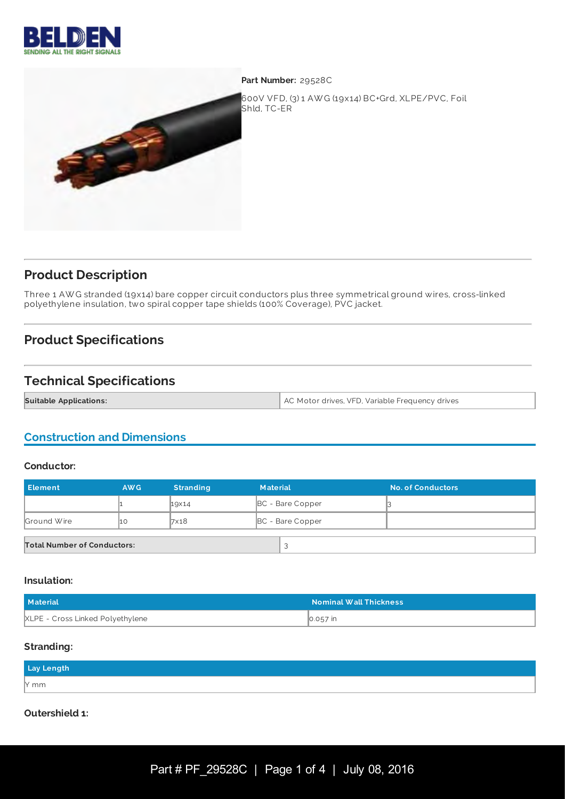



**Part Number:** 29528C

600V VFD, (3) 1 AW G (19x14) BC+Grd, XLPE/PVC, Foil Shld, TC-ER

## **Product Description**

Three 1 AW G stranded (19x14) bare copper circuit conductors plus three symmetrical ground wires, cross-linked polyethylene insulation, two spiral copper tape shields (100% Coverage), PVC jacket.

# **Product Specifications**

## **Technical Specifications**

| <b>Suitable Applications:</b> | AC Motor drives, VFD, Variable Frequency drives |
|-------------------------------|-------------------------------------------------|
|                               |                                                 |

### **Construction and Dimensions**

#### **Conductor:**

| <b>Element</b>                     | AW <sub>G</sub> | <b>Stranding</b> | <b>Material</b> |                         | <b>No. of Conductors</b> |
|------------------------------------|-----------------|------------------|-----------------|-------------------------|--------------------------|
|                                    |                 | 19×14            |                 | <b>BC</b> - Bare Copper |                          |
| Ground Wire                        | 11 O            | 7×18             |                 | <b>BC</b> - Bare Copper |                          |
| <b>Total Number of Conductors:</b> |                 |                  |                 |                         |                          |

#### **Insulation:**

| <b>Material</b>                  | Nominal Wall Thickness \ |
|----------------------------------|--------------------------|
| XLPE - Cross Linked Polyethylene | 0.057 in                 |

#### **Stranding:**

| Lay Length |  |
|------------|--|
| $N$ mm     |  |

#### **Outershield 1:**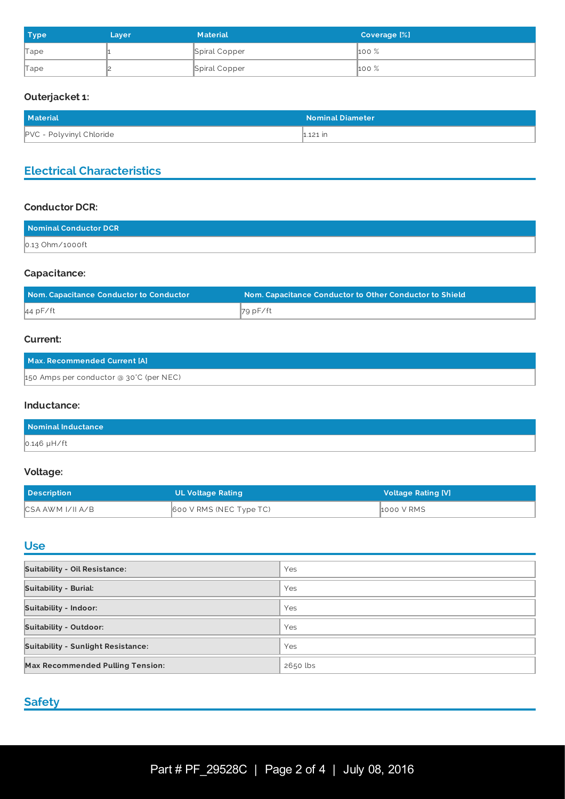| <b>Type</b> | Layer | <b>Material</b> | <b>Coverage [%]</b> |
|-------------|-------|-----------------|---------------------|
| Tape        |       | Spiral Copper   | $100\%$             |
| Tape        |       | Spiral Copper   | $100\%$             |

## **Outerjacket 1:**

| <b>Material</b>                 | <b>Nominal Diameter</b> |
|---------------------------------|-------------------------|
| <b>PVC - Polyvinyl Chloride</b> | $\ln 121$ in            |

## **Electrical Characteristics**

### **Conductor DCR:**

| Nominal Conductor DCR |  |
|-----------------------|--|
| $0.13$ Ohm/1000ft     |  |

## **Capacitance:**

| Nom. Capacitance Conductor to Conductor | Nom. Capacitance Conductor to Other Conductor to Shield |
|-----------------------------------------|---------------------------------------------------------|
| 44 pF/ft                                | ∦79 pF∕ft                                               |

### **Current:**

| Max. Recommended Current [A]            |  |
|-----------------------------------------|--|
| 150 Amps per conductor @ 30°C (per NEC) |  |

#### **Inductance:**

| Nominal Inductance |  |
|--------------------|--|
| $0.146$ µH/ft      |  |

#### **Voltage:**

| <b>Description</b> | UL Voltage Rating       | <b>Voltage Rating [V]</b> |
|--------------------|-------------------------|---------------------------|
| CSA AWM I/II A/B   | 600 V RMS (NEC Type TC) | 1000 V RMS                |

## **Use**

| <b>Suitability - Oil Resistance:</b>      | Yes      |
|-------------------------------------------|----------|
| <b>Suitability - Burial:</b>              | Yes      |
| <b>Suitability - Indoor:</b>              | Yes      |
| <b>Suitability - Outdoor:</b>             | Yes      |
| <b>Suitability - Sunlight Resistance:</b> | Yes      |
| <b>Max Recommended Pulling Tension:</b>   | 2650 lbs |

## **Safety**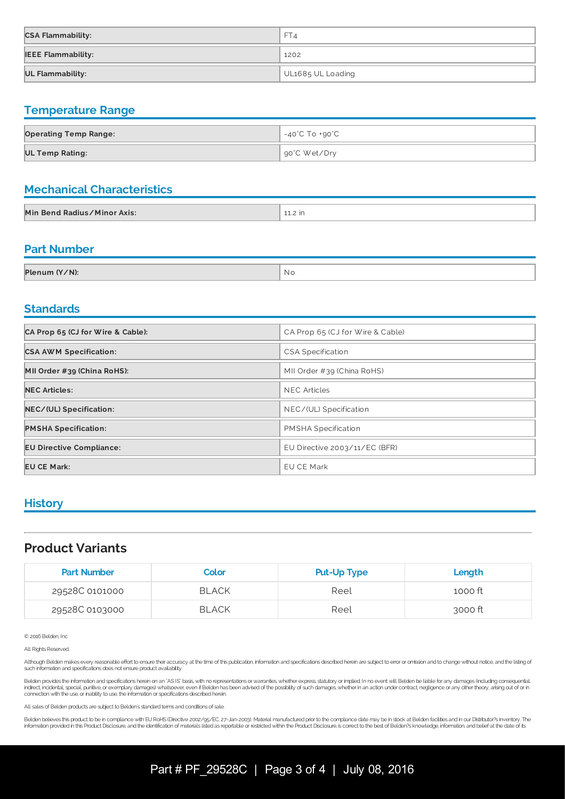| <b>CSA Flammability:</b>  | FT4               |
|---------------------------|-------------------|
| <b>IEEE Flammability:</b> | 1202              |
| <b>UL Flammability:</b>   | UL1685 UL Loading |

## **Temperature Range**

| <b>Operating Temp Range:</b> | -40°C To +90°C |
|------------------------------|----------------|
| <b>UL Temp Rating:</b>       | ∥ 90°C Wet/Dry |

## **Mechanical Characteristics**

| Min Bend Radius/Minor Axis: | <b>TTC 111</b> |
|-----------------------------|----------------|

### **Part Number**

| Plenum (Y/N): | ' Nc |
|---------------|------|

### **Standards**

| CA Prop 65 (CJ for Wire & Cable): | CA Prop 65 (CJ for Wire & Cable) |  |
|-----------------------------------|----------------------------------|--|
| <b>CSA AWM Specification:</b>     | <b>CSA Specification</b>         |  |
| MII Order #39 (China RoHS):       | MII Order #39 (China RoHS)       |  |
| <b>NEC Articles:</b>              | <b>NEC Articles</b>              |  |
| NEC/(UL) Specification:           | NEC/(UL) Specification           |  |
| <b>PMSHA Specification:</b>       | PMSHA Specification              |  |
| <b>EU Directive Compliance:</b>   | EU Directive 2003/11/EC (BFR)    |  |
| <b>EU CE Mark:</b>                | <b>EU CE Mark</b>                |  |

### **History**

## **Product Variants**

| <b>Part Number</b> | Color        | <b>Put-Up Type</b> | Length  |
|--------------------|--------------|--------------------|---------|
| 29528C 0101000     | <b>BLACK</b> | Reel               | 1000 ft |
| 29528C 0103000     | <b>BLACK</b> | Reel               | 3000 ft |

© 2016 Belden, Inc

#### All Rights Reserved.

Although Belden makes every reasonable effort to ensure their accuracy at the time of this publication, information and specifications described herein are subject to error or omission and to change without notice, and the

Belden provides the information and specifications herein on an "AS IS" basis, with no representations or warranties, whether express statutory or inplied In no event will Belden be liable for any damages (including conseq

All sales of Belden products are subject to Belden's standard terms and conditions of sale.

Belden believes this product to be in compliance with EU RoHS (Directive 2002/95/EC, 27-Jan-2003). Material manufactured prior to the compliance date may be in stock at Belden facilities and in our Distributor?s inventory. information provided in this Product Disclosure, and the identification of materials listed as reportable or restricted within the Product Disclosure, is correct to the best of Belden?s knowledge, information, and belief a